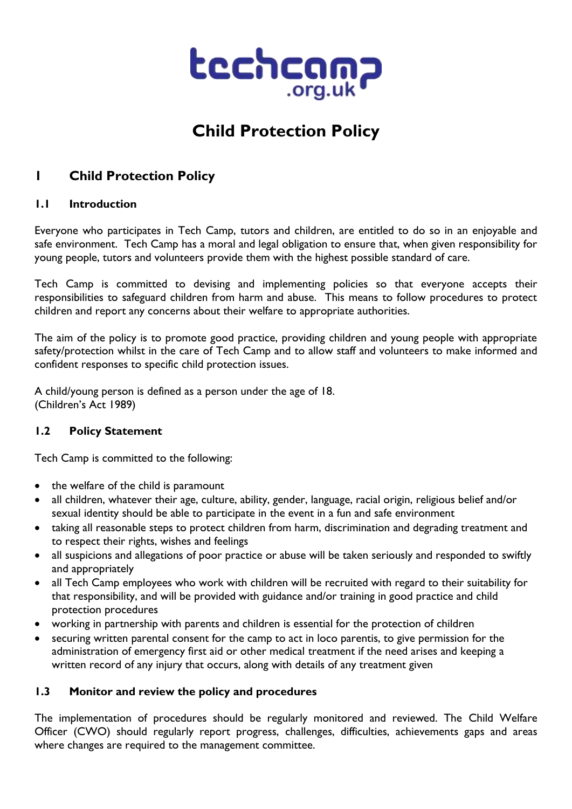

# **Child Protection Policy**

# **1 Child Protection Policy**

#### **1.1 Introduction**

Everyone who participates in Tech Camp, tutors and children, are entitled to do so in an enjoyable and safe environment. Tech Camp has a moral and legal obligation to ensure that, when given responsibility for young people, tutors and volunteers provide them with the highest possible standard of care.

Tech Camp is committed to devising and implementing policies so that everyone accepts their responsibilities to safeguard children from harm and abuse. This means to follow procedures to protect children and report any concerns about their welfare to appropriate authorities.

The aim of the policy is to promote good practice, providing children and young people with appropriate safety/protection whilst in the care of Tech Camp and to allow staff and volunteers to make informed and confident responses to specific child protection issues.

A child/young person is defined as a person under the age of 18. (Children's Act 1989)

### **1.2 Policy Statement**

Tech Camp is committed to the following:

- the welfare of the child is paramount
- all children, whatever their age, culture, ability, gender, language, racial origin, religious belief and/or sexual identity should be able to participate in the event in a fun and safe environment
- taking all reasonable steps to protect children from harm, discrimination and degrading treatment and to respect their rights, wishes and feelings
- all suspicions and allegations of poor practice or abuse will be taken seriously and responded to swiftly and appropriately
- all Tech Camp employees who work with children will be recruited with regard to their suitability for that responsibility, and will be provided with guidance and/or training in good practice and child protection procedures
- working in partnership with parents and children is essential for the protection of children
- securing written parental consent for the camp to act in loco parentis, to give permission for the administration of emergency first aid or other medical treatment if the need arises and keeping a written record of any injury that occurs, along with details of any treatment given

#### **1.3 Monitor and review the policy and procedures**

The implementation of procedures should be regularly monitored and reviewed. The Child Welfare Officer (CWO) should regularly report progress, challenges, difficulties, achievements gaps and areas where changes are required to the management committee.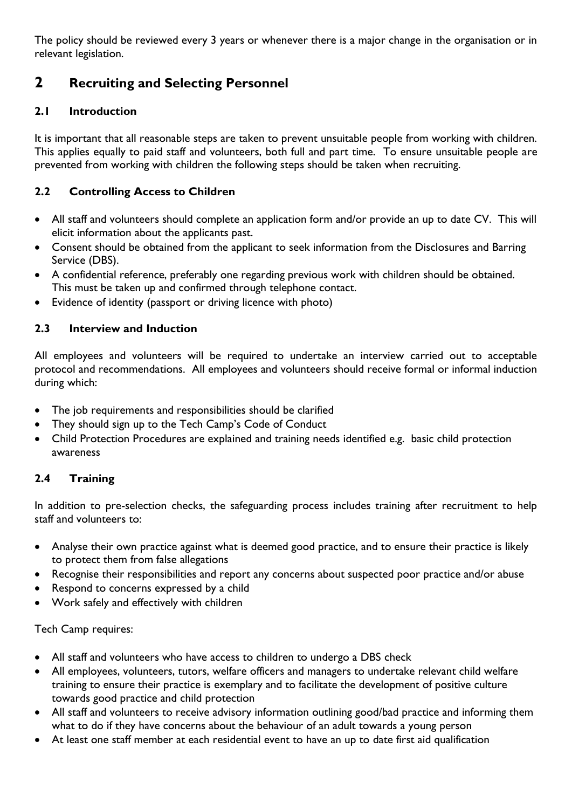The policy should be reviewed every 3 years or whenever there is a major change in the organisation or in relevant legislation.

# **2 Recruiting and Selecting Personnel**

### **2.1 Introduction**

It is important that all reasonable steps are taken to prevent unsuitable people from working with children. This applies equally to paid staff and volunteers, both full and part time. To ensure unsuitable people are prevented from working with children the following steps should be taken when recruiting.

### **2.2 Controlling Access to Children**

- All staff and volunteers should complete an application form and/or provide an up to date CV. This will elicit information about the applicants past.
- Consent should be obtained from the applicant to seek information from the Disclosures and Barring Service (DBS).
- A confidential reference, preferably one regarding previous work with children should be obtained. This must be taken up and confirmed through telephone contact.
- Evidence of identity (passport or driving licence with photo)

### **2.3 Interview and Induction**

All employees and volunteers will be required to undertake an interview carried out to acceptable protocol and recommendations. All employees and volunteers should receive formal or informal induction during which:

- The job requirements and responsibilities should be clarified
- They should sign up to the Tech Camp's Code of Conduct
- Child Protection Procedures are explained and training needs identified e.g. basic child protection awareness

### **2.4 Training**

In addition to pre-selection checks, the safeguarding process includes training after recruitment to help staff and volunteers to:

- Analyse their own practice against what is deemed good practice, and to ensure their practice is likely to protect them from false allegations
- Recognise their responsibilities and report any concerns about suspected poor practice and/or abuse
- Respond to concerns expressed by a child
- Work safely and effectively with children

#### Tech Camp requires:

- All staff and volunteers who have access to children to undergo a DBS check
- All employees, volunteers, tutors, welfare officers and managers to undertake relevant child welfare training to ensure their practice is exemplary and to facilitate the development of positive culture towards good practice and child protection
- All staff and volunteers to receive advisory information outlining good/bad practice and informing them what to do if they have concerns about the behaviour of an adult towards a young person
- At least one staff member at each residential event to have an up to date first aid qualification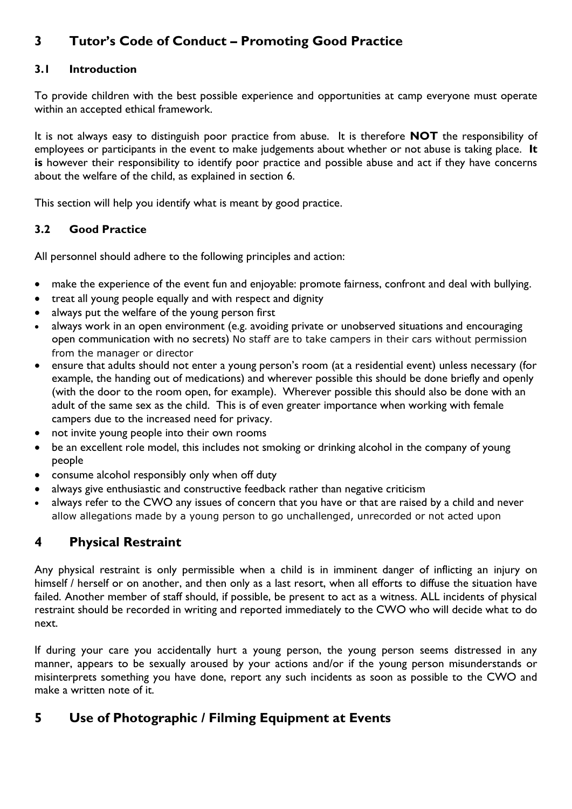# **3 Tutor's Code of Conduct – Promoting Good Practice**

### **3.1 Introduction**

To provide children with the best possible experience and opportunities at camp everyone must operate within an accepted ethical framework.

It is not always easy to distinguish poor practice from abuse. It is therefore **NOT** the responsibility of employees or participants in the event to make judgements about whether or not abuse is taking place. **It is** however their responsibility to identify poor practice and possible abuse and act if they have concerns about the welfare of the child, as explained in section 6.

This section will help you identify what is meant by good practice.

### **3.2 Good Practice**

All personnel should adhere to the following principles and action:

- make the experience of the event fun and enjoyable: promote fairness, confront and deal with bullying.
- treat all young people equally and with respect and dignity
- always put the welfare of the young person first
- always work in an open environment (e.g. avoiding private or unobserved situations and encouraging open communication with no secrets) No staff are to take campers in their cars without permission from the manager or director
- ensure that adults should not enter a young person's room (at a residential event) unless necessary (for example, the handing out of medications) and wherever possible this should be done briefly and openly (with the door to the room open, for example). Wherever possible this should also be done with an adult of the same sex as the child. This is of even greater importance when working with female campers due to the increased need for privacy.
- not invite young people into their own rooms
- be an excellent role model, this includes not smoking or drinking alcohol in the company of young people
- consume alcohol responsibly only when off duty
- always give enthusiastic and constructive feedback rather than negative criticism
- always refer to the CWO any issues of concern that you have or that are raised by a child and never allow allegations made by a young person to go unchallenged, unrecorded or not acted upon

# **4 Physical Restraint**

Any physical restraint is only permissible when a child is in imminent danger of inflicting an injury on himself / herself or on another, and then only as a last resort, when all efforts to diffuse the situation have failed. Another member of staff should, if possible, be present to act as a witness. ALL incidents of physical restraint should be recorded in writing and reported immediately to the CWO who will decide what to do next.

If during your care you accidentally hurt a young person, the young person seems distressed in any manner, appears to be sexually aroused by your actions and/or if the young person misunderstands or misinterprets something you have done, report any such incidents as soon as possible to the CWO and make a written note of it.

# **5 Use of Photographic / Filming Equipment at Events**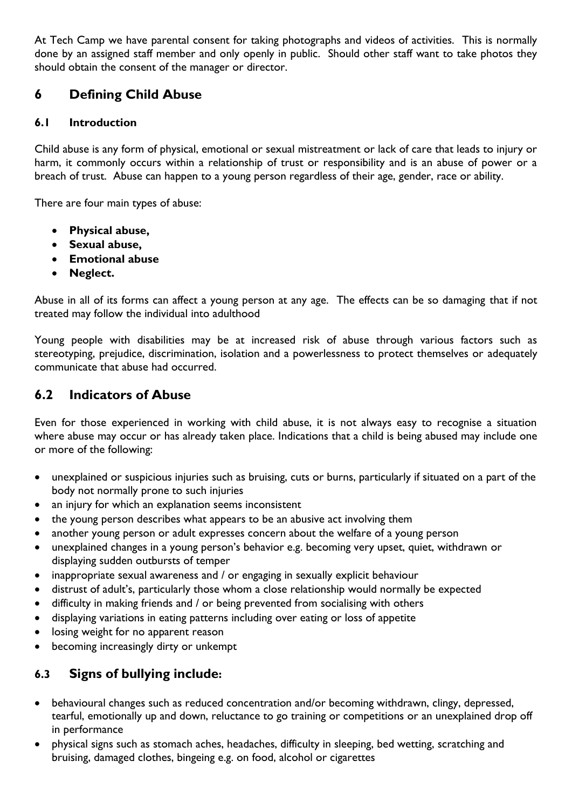At Tech Camp we have parental consent for taking photographs and videos of activities. This is normally done by an assigned staff member and only openly in public. Should other staff want to take photos they should obtain the consent of the manager or director.

# **6 Defining Child Abuse**

### **6.1 Introduction**

Child abuse is any form of physical, emotional or sexual mistreatment or lack of care that leads to injury or harm, it commonly occurs within a relationship of trust or responsibility and is an abuse of power or a breach of trust. Abuse can happen to a young person regardless of their age, gender, race or ability.

There are four main types of abuse:

- **Physical abuse,**
- **Sexual abuse,**
- **Emotional abuse**
- **Neglect.**

Abuse in all of its forms can affect a young person at any age. The effects can be so damaging that if not treated may follow the individual into adulthood

Young people with disabilities may be at increased risk of abuse through various factors such as stereotyping, prejudice, discrimination, isolation and a powerlessness to protect themselves or adequately communicate that abuse had occurred.

## **6.2 Indicators of Abuse**

Even for those experienced in working with child abuse, it is not always easy to recognise a situation where abuse may occur or has already taken place. Indications that a child is being abused may include one or more of the following:

- unexplained or suspicious injuries such as bruising, cuts or burns, particularly if situated on a part of the body not normally prone to such injuries
- an injury for which an explanation seems inconsistent
- the young person describes what appears to be an abusive act involving them
- another young person or adult expresses concern about the welfare of a young person
- unexplained changes in a young person's behavior e.g. becoming very upset, quiet, withdrawn or displaying sudden outbursts of temper
- inappropriate sexual awareness and / or engaging in sexually explicit behaviour
- distrust of adult's, particularly those whom a close relationship would normally be expected
- difficulty in making friends and / or being prevented from socialising with others
- displaying variations in eating patterns including over eating or loss of appetite
- losing weight for no apparent reason
- becoming increasingly dirty or unkempt

# **6.3 Signs of bullying include:**

- behavioural changes such as reduced concentration and/or becoming withdrawn, clingy, depressed, tearful, emotionally up and down, reluctance to go training or competitions or an unexplained drop off in performance
- physical signs such as stomach aches, headaches, difficulty in sleeping, bed wetting, scratching and bruising, damaged clothes, bingeing e.g. on food, alcohol or cigarettes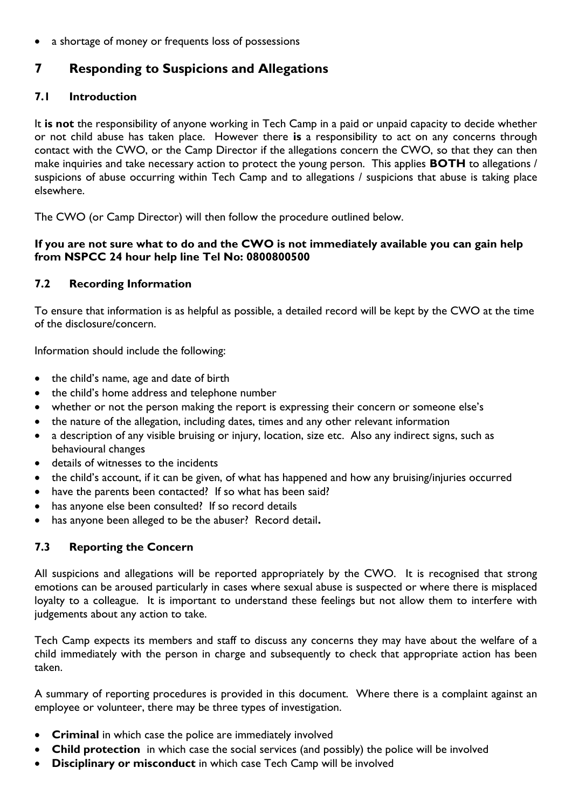a shortage of money or frequents loss of possessions

## **7 Responding to Suspicions and Allegations**

#### **7.1 Introduction**

It **is not** the responsibility of anyone working in Tech Camp in a paid or unpaid capacity to decide whether or not child abuse has taken place. However there **is** a responsibility to act on any concerns through contact with the CWO, or the Camp Director if the allegations concern the CWO, so that they can then make inquiries and take necessary action to protect the young person. This applies **BOTH** to allegations / suspicions of abuse occurring within Tech Camp and to allegations / suspicions that abuse is taking place elsewhere.

The CWO (or Camp Director) will then follow the procedure outlined below.

#### **If you are not sure what to do and the CWO is not immediately available you can gain help from NSPCC 24 hour help line Tel No: 0800800500**

#### **7.2 Recording Information**

To ensure that information is as helpful as possible, a detailed record will be kept by the CWO at the time of the disclosure/concern.

Information should include the following:

- the child's name, age and date of birth
- the child's home address and telephone number
- whether or not the person making the report is expressing their concern or someone else's
- the nature of the allegation, including dates, times and any other relevant information
- a description of any visible bruising or injury, location, size etc. Also any indirect signs, such as behavioural changes
- details of witnesses to the incidents
- the child's account, if it can be given, of what has happened and how any bruising/injuries occurred
- have the parents been contacted?If so what has been said?
- has anyone else been consulted? If so record details
- has anyone been alleged to be the abuser? Record detail**.**

#### **7.3 Reporting the Concern**

All suspicions and allegations will be reported appropriately by the CWO. It is recognised that strong emotions can be aroused particularly in cases where sexual abuse is suspected or where there is misplaced loyalty to a colleague. It is important to understand these feelings but not allow them to interfere with judgements about any action to take.

Tech Camp expects its members and staff to discuss any concerns they may have about the welfare of a child immediately with the person in charge and subsequently to check that appropriate action has been taken.

A summary of reporting procedures is provided in this document. Where there is a complaint against an employee or volunteer, there may be three types of investigation.

- **Criminal** in which case the police are immediately involved
- **Child protection** in which case the social services (and possibly) the police will be involved
- **Disciplinary or misconduct** in which case Tech Camp will be involved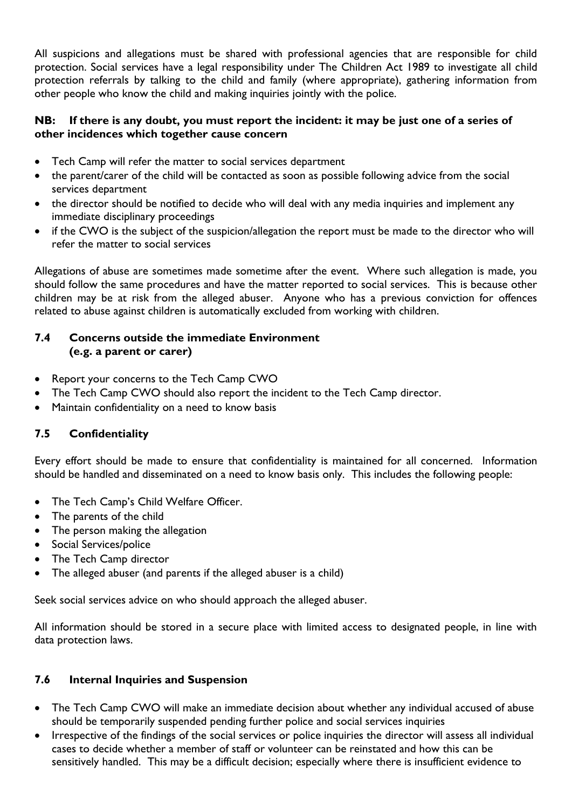All suspicions and allegations must be shared with professional agencies that are responsible for child protection. Social services have a legal responsibility under The Children Act 1989 to investigate all child protection referrals by talking to the child and family (where appropriate), gathering information from other people who know the child and making inquiries jointly with the police.

#### **NB: If there is any doubt, you must report the incident: it may be just one of a series of other incidences which together cause concern**

- Tech Camp will refer the matter to social services department
- the parent/carer of the child will be contacted as soon as possible following advice from the social services department
- the director should be notified to decide who will deal with any media inquiries and implement any immediate disciplinary proceedings
- if the CWO is the subject of the suspicion/allegation the report must be made to the director who will refer the matter to social services

Allegations of abuse are sometimes made sometime after the event. Where such allegation is made, you should follow the same procedures and have the matter reported to social services. This is because other children may be at risk from the alleged abuser. Anyone who has a previous conviction for offences related to abuse against children is automatically excluded from working with children.

### **7.4 Concerns outside the immediate Environment (e.g. a parent or carer)**

- Report your concerns to the Tech Camp CWO
- The Tech Camp CWO should also report the incident to the Tech Camp director.
- Maintain confidentiality on a need to know basis

### **7.5 Confidentiality**

Every effort should be made to ensure that confidentiality is maintained for all concerned. Information should be handled and disseminated on a need to know basis only. This includes the following people:

- The Tech Camp's Child Welfare Officer.
- The parents of the child
- The person making the allegation
- Social Services/police
- The Tech Camp director
- The alleged abuser (and parents if the alleged abuser is a child)

Seek social services advice on who should approach the alleged abuser.

All information should be stored in a secure place with limited access to designated people, in line with data protection laws.

### **7.6 Internal Inquiries and Suspension**

- The Tech Camp CWO will make an immediate decision about whether any individual accused of abuse should be temporarily suspended pending further police and social services inquiries
- Irrespective of the findings of the social services or police inquiries the director will assess all individual cases to decide whether a member of staff or volunteer can be reinstated and how this can be sensitively handled. This may be a difficult decision; especially where there is insufficient evidence to